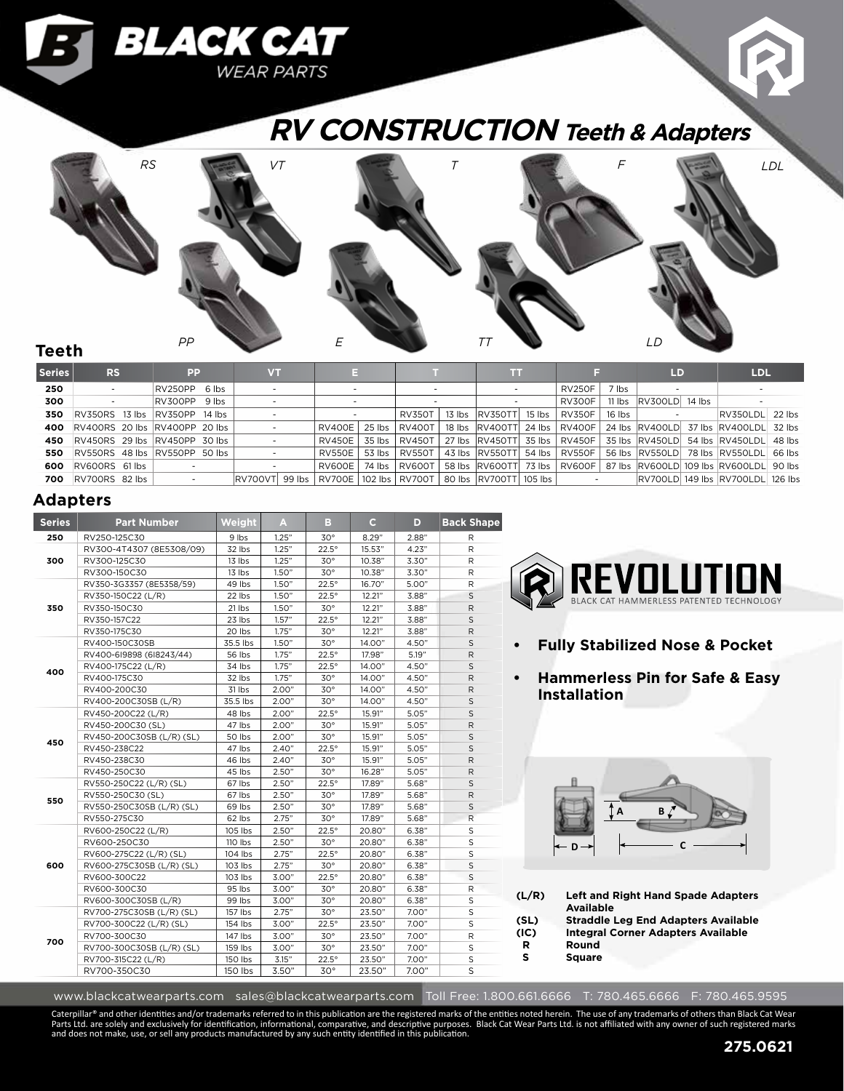# **RV CONSTRUCTION Teeth & Adapters**



#### **Teeth**

| <b>Series</b> | RS                            | PP                            | <b>VT</b>                                                     | E.                       |  |                 |  | m                                |        |               |                           | <b>LD</b> |  | <b>LDL</b>                                                          |  |
|---------------|-------------------------------|-------------------------------|---------------------------------------------------------------|--------------------------|--|-----------------|--|----------------------------------|--------|---------------|---------------------------|-----------|--|---------------------------------------------------------------------|--|
| 250           |                               | RV250PP 6 lbs                 |                                                               |                          |  |                 |  |                                  |        | <b>RV250F</b> | 7 lbs                     |           |  |                                                                     |  |
| 300           |                               | RV300PP 9 lbs                 |                                                               |                          |  |                 |  |                                  | RV300F |               | 11 lbs   RV300LD   14 lbs |           |  |                                                                     |  |
| 350           | RV350RS 13 lbs RV350PP 14 lbs |                               |                                                               |                          |  | <b>RV350T</b>   |  | 13 lbs RV350TT                   | 15 lbs | RV350F        | 16 Ibs                    |           |  | $ RV350LDL $ 22 $ bs $                                              |  |
| 400           |                               | RV400RS 20 lbs RV400PP 20 lbs |                                                               | RV400E 25 lbs RV400T     |  |                 |  |                                  |        |               |                           |           |  | 18 lbs RV400TT 24 lbs RV400F 24 lbs RV400LD 37 lbs RV400LDL 32 lbs  |  |
| 450           | RV450RS 29 lbs RV450PP 30 lbs |                               |                                                               | RV450E 35 lbs RV450T     |  |                 |  |                                  |        |               |                           |           |  | 27 lbs RV450TT 35 lbs RV450F 35 lbs RV450LD 54 lbs RV450LDL 48 lbs  |  |
| 550           | RV550RS 48 lbs RV550PP 50 lbs |                               |                                                               | <b>RV550E</b>            |  | 53 lbs   RV550T |  | 43 lbs  RV550TT  54 lbs   RV550F |        |               |                           |           |  | 56 lbs RV550LD 78 lbs RV550LDL 66 lbs                               |  |
| 600           | RV600RS 61 lbs                |                               |                                                               | RV600E   74 lbs   RV600T |  |                 |  |                                  |        |               |                           |           |  | 58 lbs RV600TT 73 lbs RV600F 87 lbs RV600LD 109 lbs RV600LDL 90 lbs |  |
| 700           | RV700RS 82 lbs                | $\sim$                        | RV700VT 99 lbs RV700E 102 lbs RV700T 80 lbs RV700TT 105 lbs L |                          |  |                 |  |                                  |        |               | <b>Contract Contract</b>  |           |  | RV700LD 149 lbs RV700LDL 126 lbs                                    |  |

### **Adapters**

| <b>Series</b> | <b>Part Number</b>        | Weight   | A     | в            | $\mathbf{C}$ | D.    | <b>Back Shape</b> |
|---------------|---------------------------|----------|-------|--------------|--------------|-------|-------------------|
| 250           | RV250-125C30              | 9 lbs    | 1.25" | $30^{\circ}$ | 8.29"        | 2.88" | R                 |
|               | RV300-4T4307 (8E5308/09)  | 32 lbs   | 1.25" | $22.5^\circ$ | 15.53"       | 4.23" | R                 |
| 300           | RV300-125C30              | 13 lbs   | 1.25" | $30^\circ$   | 10.38"       | 3.30" | R                 |
|               | RV300-150C30              | 13 lbs   | 1.50" | $30^{\circ}$ | 10.38"       | 3.30" | R                 |
|               | RV350-3G3357 (8E5358/59)  | 49 lbs   | 1.50" | $22.5^\circ$ | 16.70"       | 5.00" | R                 |
|               | RV350-150C22 (L/R)        | 22 lbs   | 1.50" | $22.5^\circ$ | 12.21"       | 3.88" | $\mathsf S$       |
| 350           | RV350-150C30              | 21 lbs   | 1.50" | $30^{\circ}$ | 12.21"       | 3.88" | R                 |
|               | RV350-157C22              | 23 lbs   | 1.57" | $22.5^\circ$ | 12.21"       | 3.88" | S                 |
|               | RV350-175C30              | 20 lbs   | 1.75" | $30^\circ$   | 12.21"       | 3.88" | R                 |
|               | RV400-150C30SB            | 35.5 lbs | 1.50" | $30^{\circ}$ | 14.00"       | 4.50" | $\mathsf S$       |
|               | RV400-6I9898 (6I8243/44)  | 56 lbs   | 1.75" | $22.5^\circ$ | 17.98"       | 5.19" | $\mathsf R$       |
| 400           | RV400-175C22 (L/R)        | 34 lbs   | 1.75" | $22.5^\circ$ | 14.00"       | 4.50" | $\mathsf S$       |
|               | RV400-175C30              | 32 lbs   | 1.75" | $30^\circ$   | 14.00"       | 4.50" | $\mathsf{R}$      |
|               | RV400-200C30              | 31 lbs   | 2.00" | $30^{\circ}$ | 14.00"       | 4.50" | $\mathsf{R}$      |
|               | RV400-200C30SB (L/R)      | 35.5 lbs | 2.00" | $30^{\circ}$ | 14.00"       | 4.50" | S                 |
|               | RV450-200C22 (L/R)        | 48 lbs   | 2.00" | $22.5^\circ$ | 15.91"       | 5.05" | S                 |
|               | RV450-200C30 (SL)         | 47 lbs   | 2.00" | $30^{\circ}$ | 15.91"       | 5.05" | $\mathsf R$       |
| 450           | RV450-200C30SB (L/R) (SL) | 50 lbs   | 2.00" | $30^{\circ}$ | 15.91"       | 5.05" | S                 |
|               | RV450-238C22              | 47 lbs   | 2.40" | $22.5^\circ$ | 15.91"       | 5.05" | $\mathsf S$       |
|               | RV450-238C30              | 46 lbs   | 2.40" | $30^{\circ}$ | 15.91"       | 5.05" | R                 |
|               | RV450-250C30              | 45 lbs   | 2.50" | $30^\circ$   | 16.28"       | 5.05" | R                 |
|               | RV550-250C22 (L/R) (SL)   | 67 lbs   | 2.50" | $22.5^\circ$ | 17.89"       | 5.68" | $\mathsf S$       |
| 550           | RV550-250C30 (SL)         | 67 lbs   | 2.50" | $30^\circ$   | 17.89"       | 5.68" | R                 |
|               | RV550-250C30SB (L/R) (SL) | 69 lbs   | 2.50" | $30^{\circ}$ | 17.89"       | 5.68" | S                 |
|               | RV550-275C30              | 62 lbs   | 2.75" | $30^{\circ}$ | 17.89"       | 5.68" | $\mathsf R$       |
|               | RV600-250C22 (L/R)        | 105 lbs  | 2.50" | $22.5^\circ$ | 20.80"       | 6.38" | S                 |
|               | RV600-250C30              | 110 lbs  | 2.50" | $30^{\circ}$ | 20.80"       | 6.38" | S                 |
|               | RV600-275C22 (L/R) (SL)   | 104 lbs  | 2.75" | $22.5^\circ$ | 20.80"       | 6.38" | S                 |
| 600           | RV600-275C30SB (L/R) (SL) | 103 lbs  | 2.75" | $30^\circ$   | 20.80"       | 6.38" | S                 |
|               | RV600-300C22              | 103 lbs  | 3.00" | $22.5^\circ$ | 20.80"       | 6.38" | S                 |
|               | RV600-300C30              | 95 lbs   | 3.00" | $30^\circ$   | 20.80"       | 6.38" | R                 |
|               | RV600-300C30SB (L/R)      | 99 lbs   | 3.00" | $30^{\circ}$ | 20.80"       | 6.38" | S                 |
|               | RV700-275C30SB (L/R) (SL) | 157 lbs  | 2.75" | $30^\circ$   | 23.50"       | 7.00" | S                 |
|               | RV700-300C22 (L/R) (SL)   | 154 lbs  | 3.00" | $22.5^\circ$ | 23.50"       | 7.00" | S                 |
| 700           | RV700-300C30              | 147 lbs  | 3.00" | $30^\circ$   | 23.50"       | 7.00" | R                 |
|               | RV700-300C30SB (L/R) (SL) | 159 lbs  | 3.00" | $30^{\circ}$ | 23.50"       | 7.00" | S                 |
|               | RV700-315C22 (L/R)        | 150 lbs  | 3.15" | $22.5^\circ$ | 23.50"       | 7.00" | $\sf S$           |
|               | RV700-350C30              | 150 lbs  | 3.50" | $30^{\circ}$ | 23.50"       | 7.00" | S                 |

BLACK CAT

**WEAR PARTS** 



- **• Fully Stabilized Nose & Pocket**
- **• Hammerless Pin for Safe & Easy Installation**



| (L/R) | <b>Left and Right Hand Spade Adapters</b>  |
|-------|--------------------------------------------|
|       | <b>Available</b>                           |
| (SL)  | <b>Straddle Leg End Adapters Available</b> |
| (IC)  | <b>Integral Corner Adapters Available</b>  |
| R     | Round                                      |
| s     | <b>Square</b>                              |

www.blackcatwearparts.com sales@blackcatwearparts.com Toll Free: 1.800.661.6666 T: 780.465.6666 F: 780.465.9595

Caterpillar® and other identities and/or trademarks referred to in this publication are the registered marks of the entities noted herein. The use of any trademarks of others than Black Cat Wear<br>Parts Ltd. are solely and e